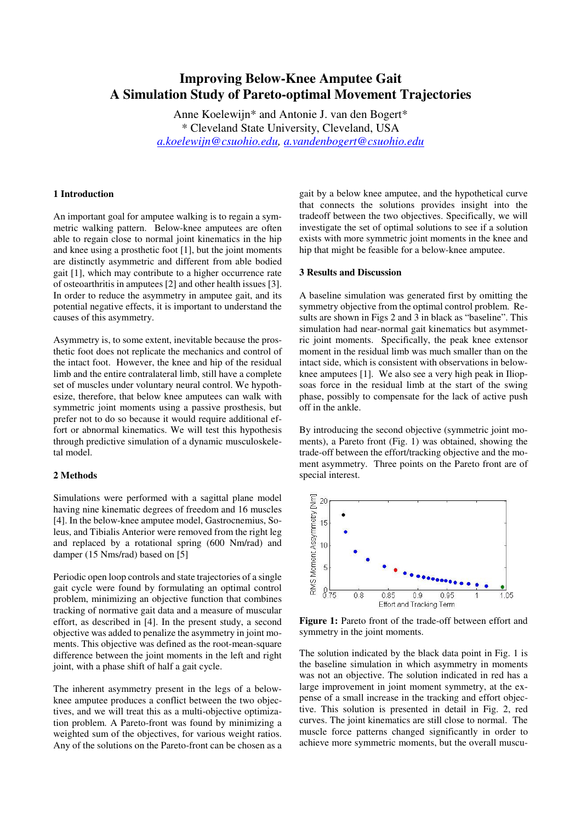# **Improving Below-Knee Amputee Gait A Simulation Study of Pareto-optimal Movement Trajectories**

Anne Koelewijn\* and Antonie J. van den Bogert\* \* Cleveland State University, Cleveland, USA *a.koelewijn@csuohio.edu, a.vandenbogert@csuohio.edu*

## **1 Introduction**

An important goal for amputee walking is to regain a symmetric walking pattern. Below-knee amputees are often able to regain close to normal joint kinematics in the hip and knee using a prosthetic foot [1], but the joint moments are distinctly asymmetric and different from able bodied gait [1], which may contribute to a higher occurrence rate of osteoarthritis in amputees [2] and other health issues [3]. In order to reduce the asymmetry in amputee gait, and its potential negative effects, it is important to understand the causes of this asymmetry.

Asymmetry is, to some extent, inevitable because the prosthetic foot does not replicate the mechanics and control of the intact foot. However, the knee and hip of the residual limb and the entire contralateral limb, still have a complete set of muscles under voluntary neural control. We hypothesize, therefore, that below knee amputees can walk with symmetric joint moments using a passive prosthesis, but prefer not to do so because it would require additional effort or abnormal kinematics. We will test this hypothesis through predictive simulation of a dynamic musculoskeletal model.

## **2 Methods**

Simulations were performed with a sagittal plane model having nine kinematic degrees of freedom and 16 muscles [4]. In the below-knee amputee model, Gastrocnemius, Soleus, and Tibialis Anterior were removed from the right leg and replaced by a rotational spring (600 Nm/rad) and damper (15 Nms/rad) based on [5]

Periodic open loop controls and state trajectories of a single gait cycle were found by formulating an optimal control problem, minimizing an objective function that combines tracking of normative gait data and a measure of muscular effort, as described in [4]. In the present study, a second objective was added to penalize the asymmetry in joint moments. This objective was defined as the root-mean-square difference between the joint moments in the left and right joint, with a phase shift of half a gait cycle.

The inherent asymmetry present in the legs of a belowknee amputee produces a conflict between the two objectives, and we will treat this as a multi-objective optimization problem. A Pareto-front was found by minimizing a weighted sum of the objectives, for various weight ratios. Any of the solutions on the Pareto-front can be chosen as a gait by a below knee amputee, and the hypothetical curve that connects the solutions provides insight into the tradeoff between the two objectives. Specifically, we will investigate the set of optimal solutions to see if a solution exists with more symmetric joint moments in the knee and hip that might be feasible for a below-knee amputee.

## **3 Results and Discussion**

A baseline simulation was generated first by omitting the symmetry objective from the optimal control problem. Results are shown in Figs 2 and 3 in black as "baseline". This simulation had near-normal gait kinematics but asymmetric joint moments. Specifically, the peak knee extensor moment in the residual limb was much smaller than on the intact side, which is consistent with observations in belowknee amputees [1]. We also see a very high peak in Iliopsoas force in the residual limb at the start of the swing phase, possibly to compensate for the lack of active push off in the ankle.

By introducing the second objective (symmetric joint moments), a Pareto front (Fig. 1) was obtained, showing the trade-off between the effort/tracking objective and the moment asymmetry. Three points on the Pareto front are of special interest.



**Figure 1:** Pareto front of the trade-off between effort and symmetry in the joint moments.

The solution indicated by the black data point in Fig. 1 is the baseline simulation in which asymmetry in moments was not an objective. The solution indicated in red has a large improvement in joint moment symmetry, at the expense of a small increase in the tracking and effort objective. This solution is presented in detail in Fig. 2, red curves. The joint kinematics are still close to normal. The muscle force patterns changed significantly in order to achieve more symmetric moments, but the overall muscu-